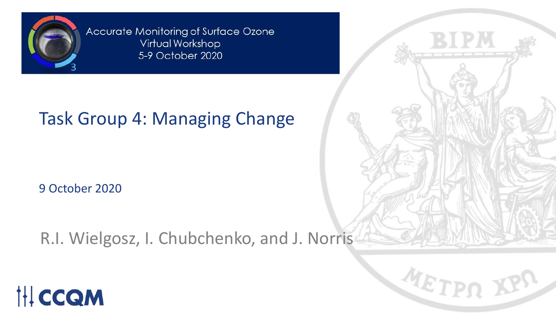

Accurate Monitoring of Surface Ozone Virtual Workshop 5-9 October 2020

### Task Group 4: Managing Change

9 October 2020

R.I. Wielgosz, I. Chubchenko, and J. Norris



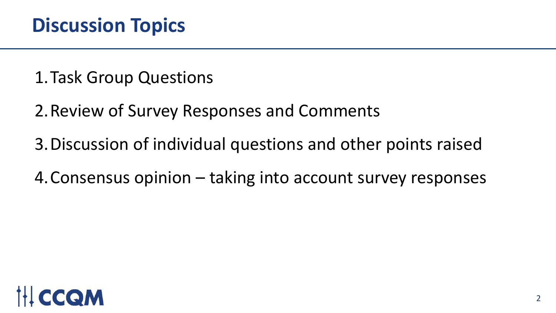1.Task Group Questions

2.Review of Survey Responses and Comments

3.Discussion of individual questions and other points raised

4.Consensus opinion – taking into account survey responses

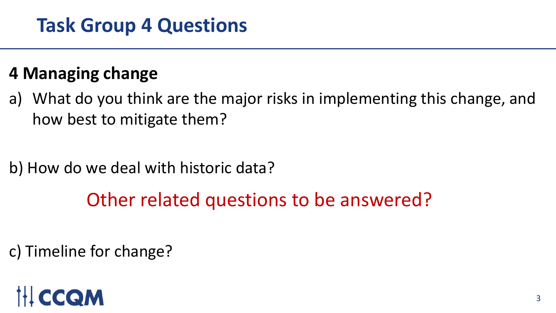### **Task Group 4 Questions**

### **4 Managing change**

a) What do you think are the major risks in implementing this change, and how best to mitigate them?

b) How do we deal with historic data?

### Other related questions to be answered?

c) Timeline for change?

### CCOM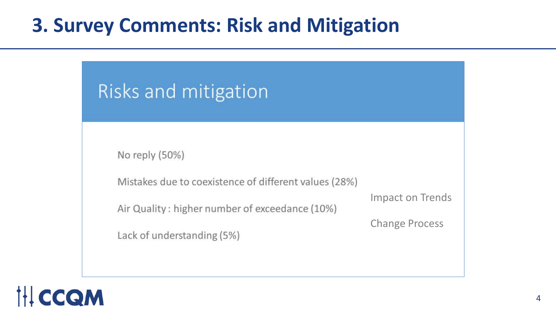### Risks and mitigation

Lack of understanding (5%)

No reply (50%)

Mistakes due to coexistence of different values (28%)

Air Quality: higher number of exceedance (10%)

Impact on Trends

Change Process

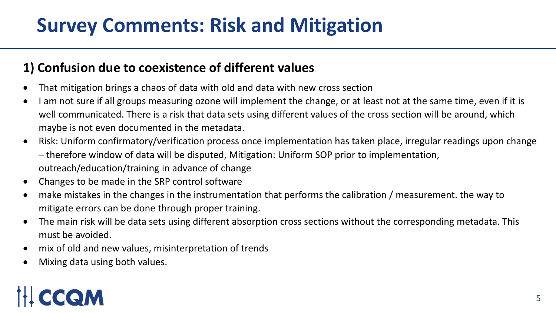### **1) Confusion due to coexistence of different values**

- That mitigation brings a chaos of data with old and data with new cross section
- I am not sure if all groups measuring ozone will implement the change, or at least not at the same time, even if it is well communicated. There is a risk that data sets using different values of the cross section will be around, which maybe is not even documented in the metadata.
- Risk: Uniform confirmatory/verification process once implementation has taken place, irregular readings upon change – therefore window of data will be disputed, Mitigation: Uniform SOP prior to implementation, outreach/education/training in advance of change
- Changes to be made in the SRP control software
- make mistakes in the changes in the instrumentation that performs the calibration / measurement. the way to mitigate errors can be done through proper training.
- The main risk will be data sets using different absorption cross sections without the corresponding metadata. This must be avoided.
- mix of old and new values, misinterpretation of trends
- Mixing data using both values.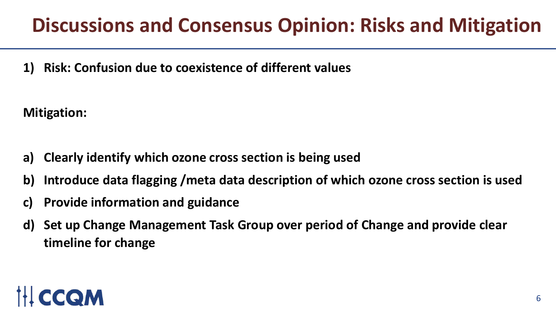**1) Risk: Confusion due to coexistence of different values**

**Mitigation:**

- **a) Clearly identify which ozone cross section is being used**
- **b) Introduce data flagging /meta data description of which ozone cross section is used**
- **c) Provide information and guidance**
- **d) Set up Change Management Task Group over period of Change and provide clear timeline for change**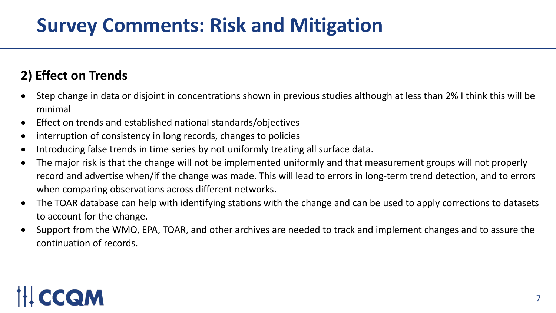### **2) Effect on Trends**

- Step change in data or disjoint in concentrations shown in previous studies although at less than 2% I think this will be minimal
- Effect on trends and established national standards/objectives
- interruption of consistency in long records, changes to policies
- Introducing false trends in time series by not uniformly treating all surface data.
- The major risk is that the change will not be implemented uniformly and that measurement groups will not properly record and advertise when/if the change was made. This will lead to errors in long-term trend detection, and to errors when comparing observations across different networks.
- The TOAR database can help with identifying stations with the change and can be used to apply corrections to datasets to account for the change.
- Support from the WMO, EPA, TOAR, and other archives are needed to track and implement changes and to assure the continuation of records.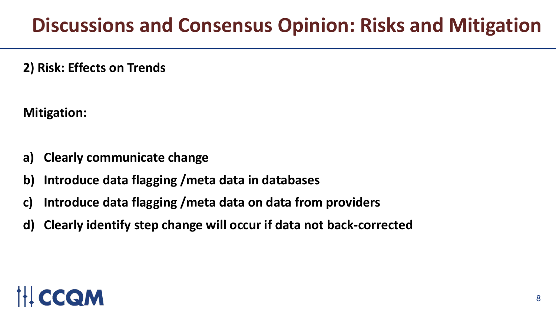**2) Risk: Effects on Trends**

**Mitigation:**

- **a) Clearly communicate change**
- **b) Introduce data flagging /meta data in databases**
- **c) Introduce data flagging /meta data on data from providers**
- **d) Clearly identify step change will occur if data not back-corrected**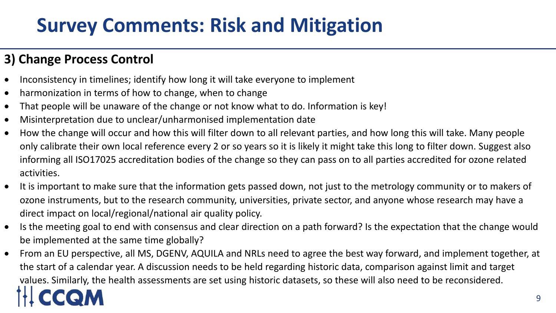### **3) Change Process Control**

- Inconsistency in timelines; identify how long it will take everyone to implement
- harmonization in terms of how to change, when to change
- That people will be unaware of the change or not know what to do. Information is key!
- Misinterpretation due to unclear/unharmonised implementation date
- How the change will occur and how this will filter down to all relevant parties, and how long this will take. Many people only calibrate their own local reference every 2 or so years so it is likely it might take this long to filter down. Suggest also informing all ISO17025 accreditation bodies of the change so they can pass on to all parties accredited for ozone related activities.
- It is important to make sure that the information gets passed down, not just to the metrology community or to makers of ozone instruments, but to the research community, universities, private sector, and anyone whose research may have a direct impact on local/regional/national air quality policy.
- Is the meeting goal to end with consensus and clear direction on a path forward? Is the expectation that the change would be implemented at the same time globally?
- 9 • From an EU perspective, all MS, DGENV, AQUILA and NRLs need to agree the best way forward, and implement together, at the start of a calendar year. A discussion needs to be held regarding historic data, comparison against limit and target values. Similarly, the health assessments are set using historic datasets, so these will also need to be reconsidered.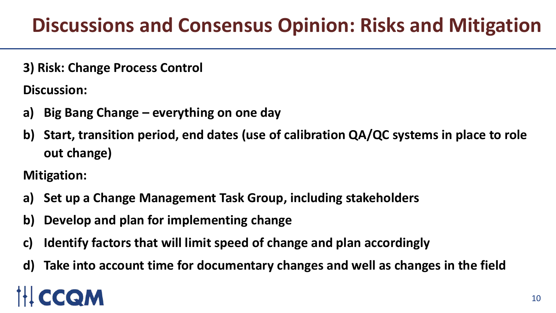**3) Risk: Change Process Control**

**Discussion:**

- **a) Big Bang Change – everything on one day**
- **b) Start, transition period, end dates (use of calibration QA/QC systems in place to role out change)**

**Mitigation:**

- **a) Set up a Change Management Task Group, including stakeholders**
- **b) Develop and plan for implementing change**
- **c) Identify factors that will limit speed of change and plan accordingly**
- **d) Take into account time for documentary changes and well as changes in the field**

# QM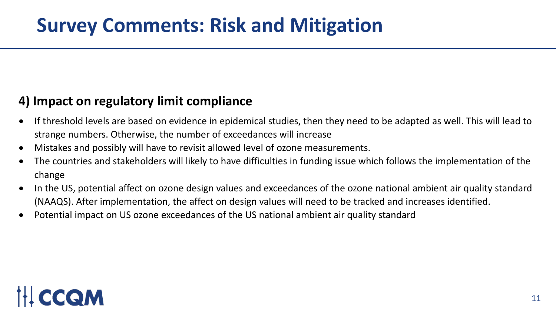### **4) Impact on regulatory limit compliance**

- If threshold levels are based on evidence in epidemical studies, then they need to be adapted as well. This will lead to strange numbers. Otherwise, the number of exceedances will increase
- Mistakes and possibly will have to revisit allowed level of ozone measurements.
- The countries and stakeholders will likely to have difficulties in funding issue which follows the implementation of the change
- In the US, potential affect on ozone design values and exceedances of the ozone national ambient air quality standard (NAAQS). After implementation, the affect on design values will need to be tracked and increases identified.
- Potential impact on US ozone exceedances of the US national ambient air quality standard

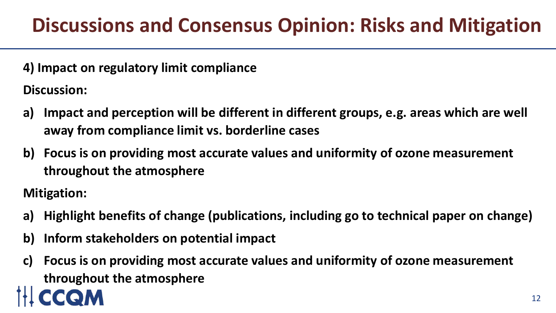**4) Impact on regulatory limit compliance**

**Discussion:**

- **a) Impact and perception will be different in different groups, e.g. areas which are well away from compliance limit vs. borderline cases**
- **b) Focus is on providing most accurate values and uniformity of ozone measurement throughout the atmosphere**

**Mitigation:**

- **a) Highlight benefits of change (publications, including go to technical paper on change)**
- **b) Inform stakeholders on potential impact**
- **c) Focus is on providing most accurate values and uniformity of ozone measurement throughout the atmosphere**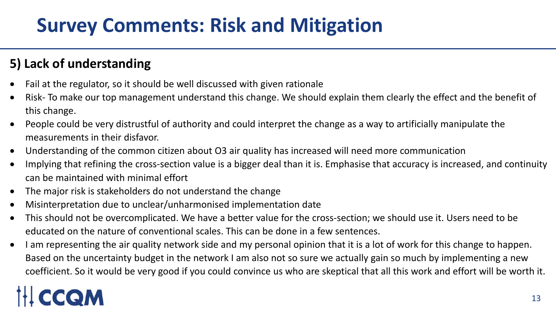### **5) Lack of understanding**

- Fail at the regulator, so it should be well discussed with given rationale
- Risk- To make our top management understand this change. We should explain them clearly the effect and the benefit of this change.
- People could be very distrustful of authority and could interpret the change as a way to artificially manipulate the measurements in their disfavor.
- Understanding of the common citizen about O3 air quality has increased will need more communication
- Implying that refining the cross-section value is a bigger deal than it is. Emphasise that accuracy is increased, and continuity can be maintained with minimal effort
- The major risk is stakeholders do not understand the change
- Misinterpretation due to unclear/unharmonised implementation date
- This should not be overcomplicated. We have a better value for the cross-section; we should use it. Users need to be educated on the nature of conventional scales. This can be done in a few sentences.
- I am representing the air quality network side and my personal opinion that it is a lot of work for this change to happen. Based on the uncertainty budget in the network I am also not so sure we actually gain so much by implementing a new coefficient. So it would be very good if you could convince us who are skeptical that all this work and effort will be worth it.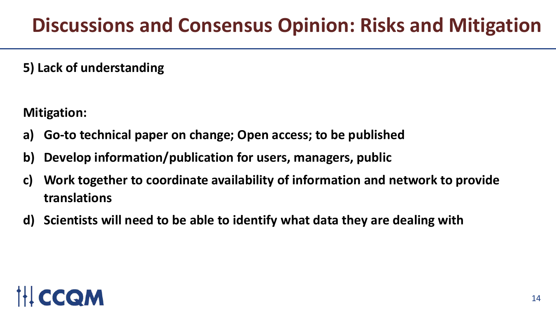**5) Lack of understanding**

**Mitigation:**

- **a) Go-to technical paper on change; Open access; to be published**
- **b) Develop information/publication for users, managers, public**
- **c) Work together to coordinate availability of information and network to provide translations**
- **d) Scientists will need to be able to identify what data they are dealing with**

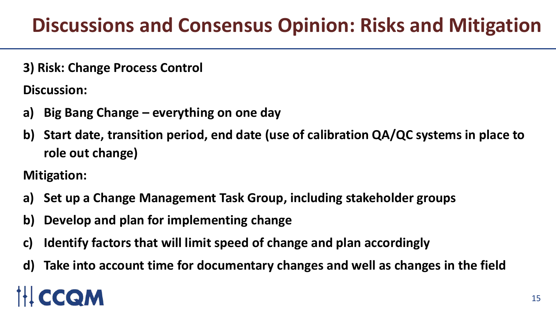**3) Risk: Change Process Control**

**Discussion:**

- **a) Big Bang Change – everything on one day**
- **b) Start date, transition period, end date (use of calibration QA/QC systems in place to role out change)**

**Mitigation:**

- **a) Set up a Change Management Task Group, including stakeholder groups**
- **b) Develop and plan for implementing change**
- **c) Identify factors that will limit speed of change and plan accordingly**
- **d) Take into account time for documentary changes and well as changes in the field**

# QM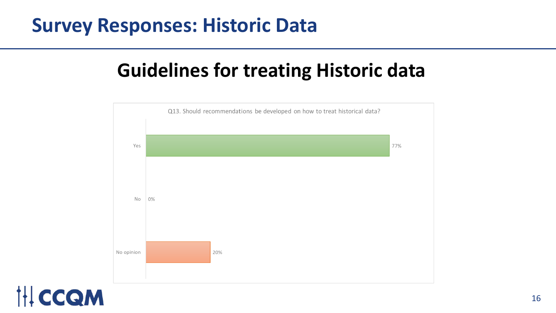### **Survey Responses: Historic Data**

### **Guidelines for treating Historic data**



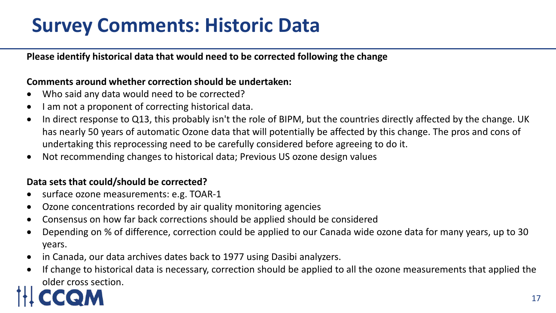### **Survey Comments: Historic Data**

#### **Please identify historical data that would need to be corrected following the change**

#### **Comments around whether correction should be undertaken:**

- Who said any data would need to be corrected?
- I am not a proponent of correcting historical data.
- In direct response to Q13, this probably isn't the role of BIPM, but the countries directly affected by the change. UK has nearly 50 years of automatic Ozone data that will potentially be affected by this change. The pros and cons of undertaking this reprocessing need to be carefully considered before agreeing to do it.
- Not recommending changes to historical data; Previous US ozone design values

### **Data sets that could/should be corrected?**

- surface ozone measurements: e.g. TOAR-1
- Ozone concentrations recorded by air quality monitoring agencies
- Consensus on how far back corrections should be applied should be considered
- Depending on % of difference, correction could be applied to our Canada wide ozone data for many years, up to 30 years.
- in Canada, our data archives dates back to 1977 using Dasibi analyzers.
- If change to historical data is necessary, correction should be applied to all the ozone measurements that applied the older cross section.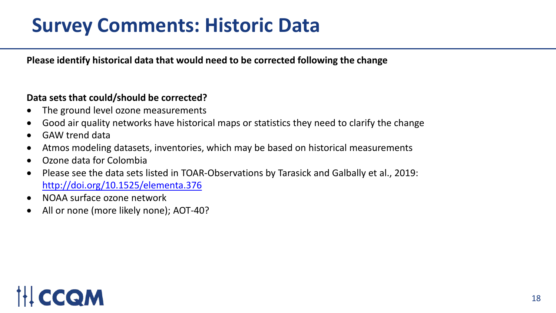### **Survey Comments: Historic Data**

**Please identify historical data that would need to be corrected following the change**

#### **Data sets that could/should be corrected?**

- The ground level ozone measurements
- Good air quality networks have historical maps or statistics they need to clarify the change
- GAW trend data
- Atmos modeling datasets, inventories, which may be based on historical measurements
- Ozone data for Colombia
- Please see the data sets listed in TOAR-Observations by Tarasick and Galbally et al., 2019: <http://doi.org/10.1525/elementa.376>
- NOAA surface ozone network
- All or none (more likely none); AOT-40?

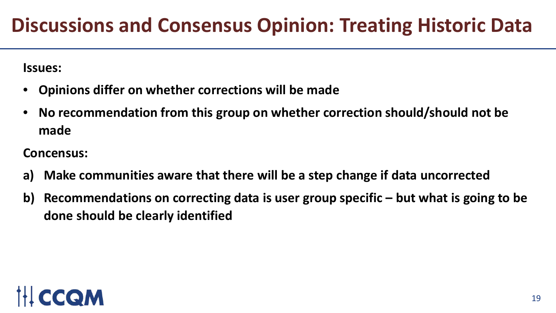**Issues:**

- **Opinions differ on whether corrections will be made**
- **No recommendation from this group on whether correction should/should not be made**

**Concensus:**

- **a) Make communities aware that there will be a step change if data uncorrected**
- **b) Recommendations on correcting data is user group specific – but what is going to be done should be clearly identified**